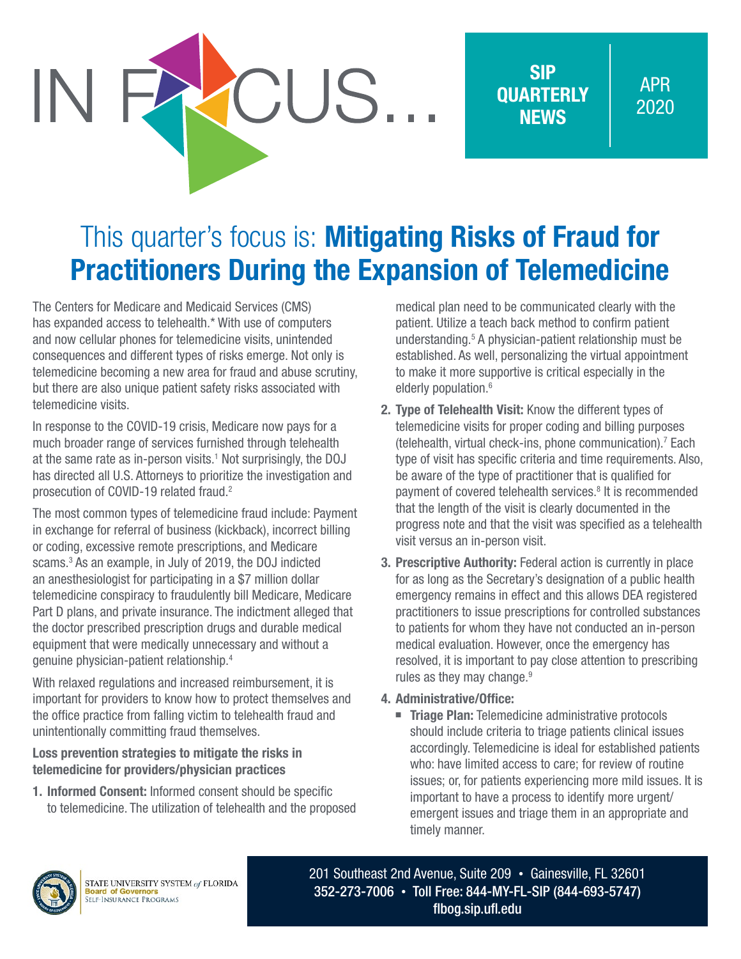SIP **OUARTERLY NEWS** 

APR 2020

## This quarter's focus is: Mitigating Risks of Fraud for Practitioners During the Expansion of Telemedicine

CUS.

The Centers for Medicare and Medicaid Services (CMS) has expanded access to telehealth.\* With use of computers and now cellular phones for telemedicine visits, unintended consequences and different types of risks emerge. Not only is telemedicine becoming a new area for fraud and abuse scrutiny, but there are also unique patient safety risks associated with telemedicine visits.

In response to the COVID-19 crisis, Medicare now pays for a much broader range of services furnished through telehealth at the same rate as in-person visits.<sup>1</sup> Not surprisingly, the DOJ has directed all U.S. Attorneys to prioritize the investigation and prosecution of COVID-19 related fraud.<sup>2</sup>

The most common types of telemedicine fraud include: Payment in exchange for referral of business (kickback), incorrect billing or coding, excessive remote prescriptions, and Medicare scams.3 As an example, in July of 2019, the DOJ indicted an anesthesiologist for participating in a \$7 million dollar telemedicine conspiracy to fraudulently bill Medicare, Medicare Part D plans, and private insurance. The indictment alleged that the doctor prescribed prescription drugs and durable medical equipment that were medically unnecessary and without a genuine physician-patient relationship.4

With relaxed regulations and increased reimbursement, it is important for providers to know how to protect themselves and the office practice from falling victim to telehealth fraud and unintentionally committing fraud themselves.

## Loss prevention strategies to mitigate the risks in telemedicine for providers/physician practices

1. Informed Consent: Informed consent should be specific to telemedicine. The utilization of telehealth and the proposed medical plan need to be communicated clearly with the patient. Utilize a teach back method to confirm patient understanding.5 A physician-patient relationship must be established. As well, personalizing the virtual appointment to make it more supportive is critical especially in the elderly population.<sup>6</sup>

- 2. Type of Telehealth Visit: Know the different types of telemedicine visits for proper coding and billing purposes (telehealth, virtual check-ins, phone communication).7 Each type of visit has specific criteria and time requirements. Also, be aware of the type of practitioner that is qualified for payment of covered telehealth services.<sup>8</sup> It is recommended that the length of the visit is clearly documented in the progress note and that the visit was specified as a telehealth visit versus an in-person visit.
- 3. Prescriptive Authority: Federal action is currently in place for as long as the Secretary's designation of a public health emergency remains in effect and this allows DEA registered practitioners to issue prescriptions for controlled substances to patients for whom they have not conducted an in-person medical evaluation. However, once the emergency has resolved, it is important to pay close attention to prescribing rules as they may change.<sup>9</sup>

## 4. Administrative/Office:

■ Triage Plan: Telemedicine administrative protocols should include criteria to triage patients clinical issues accordingly. Telemedicine is ideal for established patients who: have limited access to care; for review of routine issues; or, for patients experiencing more mild issues. It is important to have a process to identify more urgent/ emergent issues and triage them in an appropriate and timely manner.



201 Southeast 2nd Avenue, Suite 209 • Gainesville, FL 32601 352-273-7006 • Toll Free: 844-MY-FL-SIP (844-693-5747) [flbog.sip.ufl.edu](http://flbog.sip.ufl.edu)